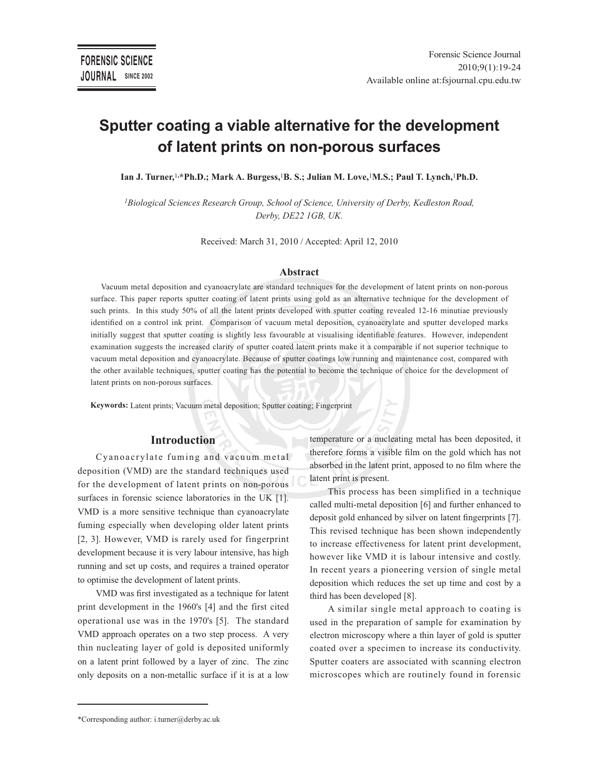# **Sputter coating a viable alternative for the development of latent prints on non-porous surfaces**

**Ian J. Turner,**<sup>1</sup>**,\*Ph.D.; Mark A. Burgess,**<sup>1</sup>**B. S.; Julian M. Love,**<sup>1</sup>**M.S.; Paul T. Lynch,**<sup>1</sup>**Ph.D.**

*<sup>1</sup>Biological Sciences Research Group, School of Science, University of Derby, Kedleston Road, Derby, DE22 1GB, UK.*

Received: March 31, 2010 / Accepted: April 12, 2010

#### **Abstract**

Vacuum metal deposition and cyanoacrylate are standard techniques for the development of latent prints on non-porous surface. This paper reports sputter coating of latent prints using gold as an alternative technique for the development of such prints. In this study 50% of all the latent prints developed with sputter coating revealed 12-16 minutiae previously identified on a control ink print. Comparison of vacuum metal deposition, cyanoacrylate and sputter developed marks initially suggest that sputter coating is slightly less favourable at visualising identifiable features. However, independent examination suggests the increased clarity of sputter coated latent prints make it a comparable if not superior technique to vacuum metal deposition and cyanoacrylate. Because of sputter coatings low running and maintenance cost, compared with the other available techniques, sputter coating has the potential to become the technique of choice for the development of latent prints on non-porous surfaces.

**Keywords:** Latent prints; Vacuum metal deposition; Sputter coating; Fingerprint

#### **Introduction**

Cyanoacrylate fuming and vacuum metal deposition (VMD) are the standard techniques used for the development of latent prints on non-porous surfaces in forensic science laboratories in the UK [1]. VMD is a more sensitive technique than cyanoacrylate fuming especially when developing older latent prints [2, 3]. However, VMD is rarely used for fingerprint development because it is very labour intensive, has high running and set up costs, and requires a trained operator to optimise the development of latent prints.

VMD was first investigated as a technique for latent print development in the 1960's [4] and the first cited operational use was in the 1970's [5]. The standard VMD approach operates on a two step process. A very thin nucleating layer of gold is deposited uniformly on a latent print followed by a layer of zinc. The zinc only deposits on a non-metallic surface if it is at a low

temperature or a nucleating metal has been deposited, it therefore forms a visible film on the gold which has not absorbed in the latent print, apposed to no film where the latent print is present.

This process has been simplified in a technique called multi-metal deposition [6] and further enhanced to deposit gold enhanced by silver on latent fingerprints [7]. This revised technique has been shown independently to increase effectiveness for latent print development, however like VMD it is labour intensive and costly. In recent years a pioneering version of single metal deposition which reduces the set up time and cost by a third has been developed [8].

A similar single metal approach to coating is used in the preparation of sample for examination by electron microscopy where a thin layer of gold is sputter coated over a specimen to increase its conductivity. Sputter coaters are associated with scanning electron microscopes which are routinely found in forensic

<sup>\*</sup>Corresponding author: i.turner@derby.ac.uk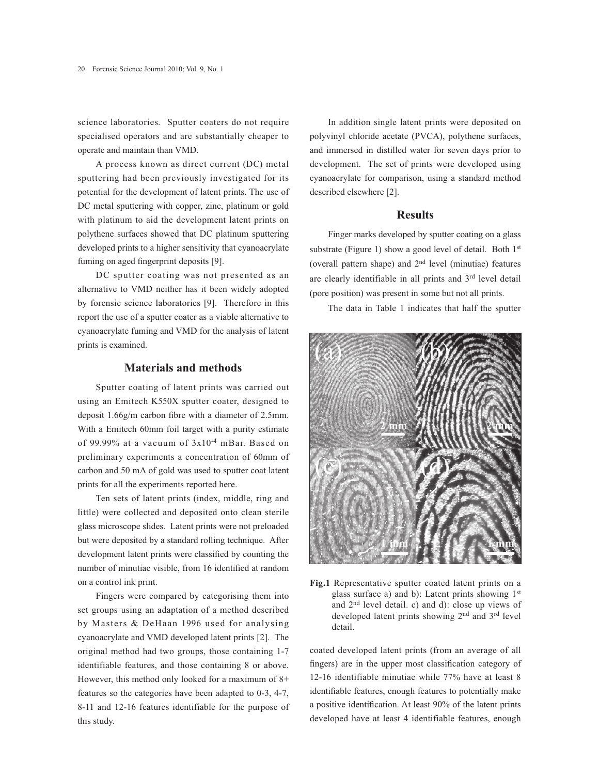science laboratories. Sputter coaters do not require specialised operators and are substantially cheaper to operate and maintain than VMD.

A process known as direct current (DC) metal sputtering had been previously investigated for its potential for the development of latent prints. The use of DC metal sputtering with copper, zinc, platinum or gold with platinum to aid the development latent prints on polythene surfaces showed that DC platinum sputtering developed prints to a higher sensitivity that cyanoacrylate fuming on aged fingerprint deposits [9].

DC sputter coating was not presented as an alternative to VMD neither has it been widely adopted by forensic science laboratories [9]. Therefore in this report the use of a sputter coater as a viable alternative to cyanoacrylate fuming and VMD for the analysis of latent prints is examined.

## **Materials and methods**

Sputter coating of latent prints was carried out using an Emitech K550X sputter coater, designed to deposit 1.66g/m carbon fibre with a diameter of 2.5mm. With a Emitech 60mm foil target with a purity estimate of 99.99% at a vacuum of 3x10-4 mBar. Based on preliminary experiments a concentration of 60mm of carbon and 50 mA of gold was used to sputter coat latent prints for all the experiments reported here.

Ten sets of latent prints (index, middle, ring and little) were collected and deposited onto clean sterile glass microscope slides. Latent prints were not preloaded but were deposited by a standard rolling technique. After development latent prints were classified by counting the number of minutiae visible, from 16 identified at random on a control ink print.

Fingers were compared by categorising them into set groups using an adaptation of a method described by Masters & DeHaan 1996 used for analysing cyanoacrylate and VMD developed latent prints [2]. The original method had two groups, those containing 1-7 identifiable features, and those containing 8 or above. However, this method only looked for a maximum of 8+ features so the categories have been adapted to 0-3, 4-7, 8-11 and 12-16 features identifiable for the purpose of this study.

In addition single latent prints were deposited on polyvinyl chloride acetate (PVCA), polythene surfaces, and immersed in distilled water for seven days prior to development. The set of prints were developed using cyanoacrylate for comparison, using a standard method described elsewhere [2].

# **Results**

Finger marks developed by sputter coating on a glass substrate (Figure 1) show a good level of detail. Both 1<sup>st</sup> (overall pattern shape) and 2nd level (minutiae) features are clearly identifiable in all prints and 3rd level detail (pore position) was present in some but not all prints.

The data in Table 1 indicates that half the sputter



**Fig.1** Representative sputter coated latent prints on a glass surface a) and b): Latent prints showing 1st and 2nd level detail. c) and d): close up views of developed latent prints showing 2nd and 3rd level detail.

coated developed latent prints (from an average of all fingers) are in the upper most classification category of 12-16 identifiable minutiae while 77% have at least 8 identifiable features, enough features to potentially make a positive identification. At least 90% of the latent prints developed have at least 4 identifiable features, enough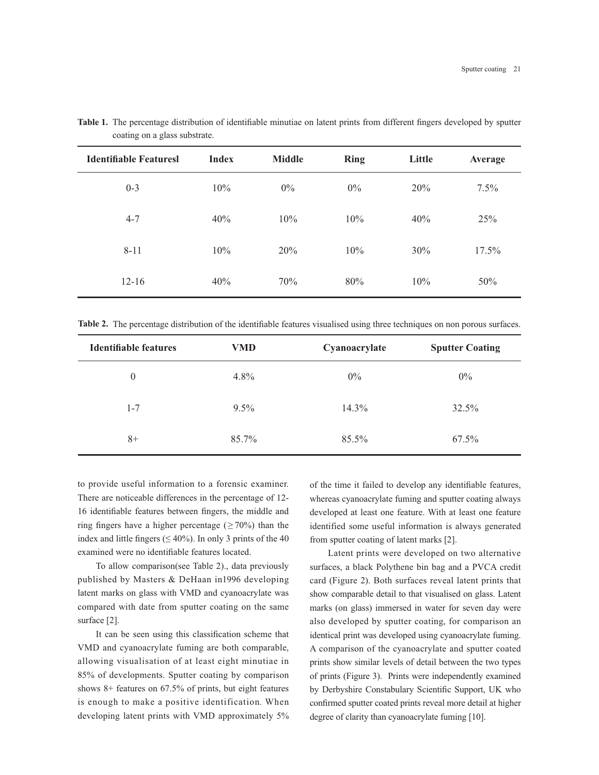| <b>Identifiable Featuresl</b> | <b>Index</b> | <b>Middle</b> | <b>Ring</b> | Little | Average |
|-------------------------------|--------------|---------------|-------------|--------|---------|
| $0 - 3$                       | 10%          | $0\%$         | $0\%$       | 20%    | $7.5\%$ |
| $4 - 7$                       | 40%          | 10%           | 10%         | 40%    | 25%     |
| $8 - 11$                      | 10%          | 20%           | 10%         | 30%    | 17.5%   |
| $12 - 16$                     | 40%          | 70%           | 80%         | 10%    | 50%     |

**Table 1.** The percentage distribution of identifiable minutiae on latent prints from different fingers developed by sputter coating on a glass substrate.

**Table 2.** The percentage distribution of the identifiable features visualised using three techniques on non porous surfaces.

| Identifiable features | <b>VMD</b> | Cyanoacrylate | <b>Sputter Coating</b> |
|-----------------------|------------|---------------|------------------------|
| $\theta$              | $4.8\%$    | $0\%$         | 0%                     |
| $1 - 7$               | $9.5\%$    | $14.3\%$      | 32.5%                  |
| $8+$                  | 85.7%      | 85.5%         | 67.5%                  |

to provide useful information to a forensic examiner. There are noticeable differences in the percentage of 12- 16 identifiable features between fingers, the middle and ring fingers have a higher percentage ( $\geq 70\%$ ) than the index and little fingers ( $\leq 40\%$ ). In only 3 prints of the 40 examined were no identifiable features located.

To allow comparison(see Table 2)., data previously published by Masters & DeHaan in1996 developing latent marks on glass with VMD and cyanoacrylate was compared with date from sputter coating on the same surface [2].

It can be seen using this classification scheme that VMD and cyanoacrylate fuming are both comparable, allowing visualisation of at least eight minutiae in 85% of developments. Sputter coating by comparison shows 8+ features on 67.5% of prints, but eight features is enough to make a positive identification. When developing latent prints with VMD approximately 5%

of the time it failed to develop any identifiable features, whereas cyanoacrylate fuming and sputter coating always developed at least one feature. With at least one feature identified some useful information is always generated from sputter coating of latent marks [2].

Latent prints were developed on two alternative surfaces, a black Polythene bin bag and a PVCA credit card (Figure 2). Both surfaces reveal latent prints that show comparable detail to that visualised on glass. Latent marks (on glass) immersed in water for seven day were also developed by sputter coating, for comparison an identical print was developed using cyanoacrylate fuming. A comparison of the cyanoacrylate and sputter coated prints show similar levels of detail between the two types of prints (Figure 3). Prints were independently examined by Derbyshire Constabulary Scientific Support, UK who confirmed sputter coated prints reveal more detail at higher degree of clarity than cyanoacrylate fuming [10].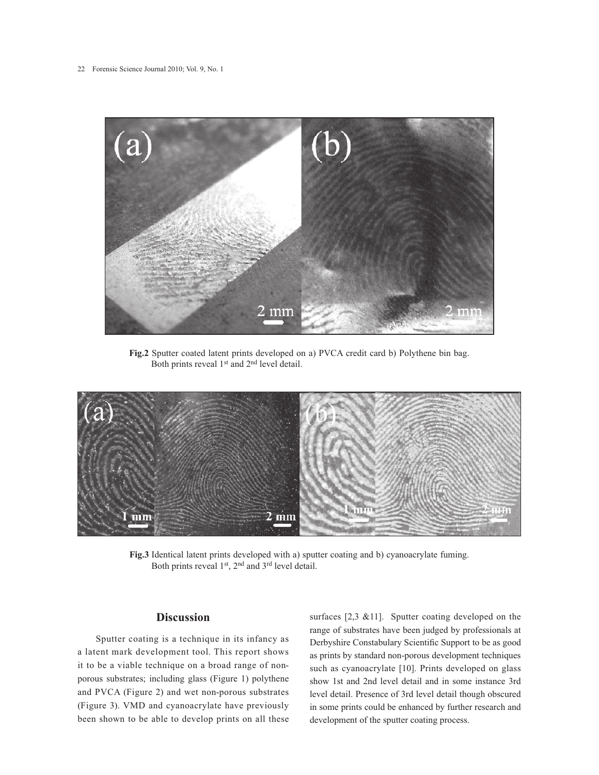

**Fig.2** Sputter coated latent prints developed on a) PVCA credit card b) Polythene bin bag. Both prints reveal 1st and 2nd level detail.



**Fig.3** Identical latent prints developed with a) sputter coating and b) cyanoacrylate fuming. Both prints reveal 1st, 2nd and 3rd level detail.

## **Discussion**

Sputter coating is a technique in its infancy as a latent mark development tool. This report shows it to be a viable technique on a broad range of nonporous substrates; including glass (Figure 1) polythene and PVCA (Figure 2) and wet non-porous substrates (Figure 3). VMD and cyanoacrylate have previously been shown to be able to develop prints on all these

surfaces [2,3 &11]. Sputter coating developed on the range of substrates have been judged by professionals at Derbyshire Constabulary Scientific Support to be as good as prints by standard non-porous development techniques such as cyanoacrylate [10]. Prints developed on glass show 1st and 2nd level detail and in some instance 3rd level detail. Presence of 3rd level detail though obscured in some prints could be enhanced by further research and development of the sputter coating process.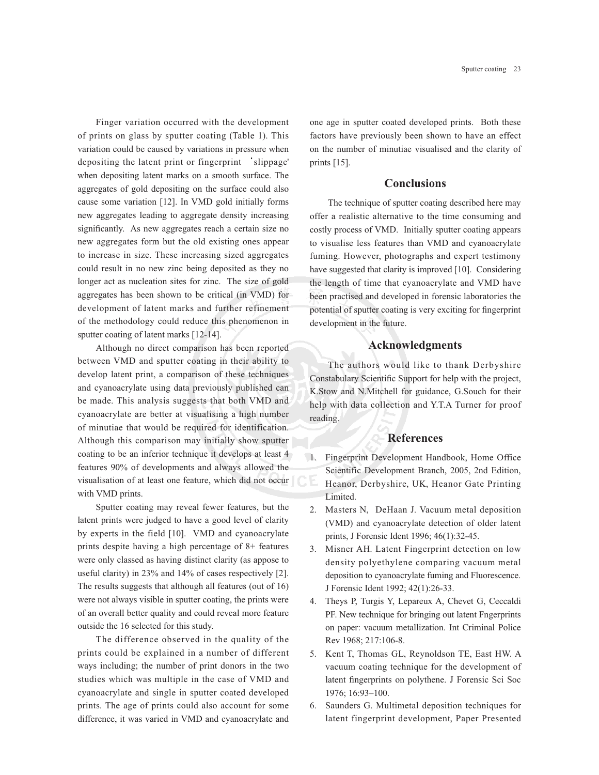Finger variation occurred with the development of prints on glass by sputter coating (Table 1). This variation could be caused by variations in pressure when depositing the latent print or fingerprint 'slippage' when depositing latent marks on a smooth surface. The aggregates of gold depositing on the surface could also cause some variation [12]. In VMD gold initially forms new aggregates leading to aggregate density increasing significantly. As new aggregates reach a certain size no new aggregates form but the old existing ones appear to increase in size. These increasing sized aggregates could result in no new zinc being deposited as they no longer act as nucleation sites for zinc. The size of gold aggregates has been shown to be critical (in VMD) for development of latent marks and further refinement of the methodology could reduce this phenomenon in sputter coating of latent marks [12-14].

Although no direct comparison has been reported between VMD and sputter coating in their ability to develop latent print, a comparison of these techniques and cyanoacrylate using data previously published can be made. This analysis suggests that both VMD and cyanoacrylate are better at visualising a high number of minutiae that would be required for identification. Although this comparison may initially show sputter coating to be an inferior technique it develops at least 4 features 90% of developments and always allowed the visualisation of at least one feature, which did not occur with VMD prints.

Sputter coating may reveal fewer features, but the latent prints were judged to have a good level of clarity by experts in the field [10]. VMD and cyanoacrylate prints despite having a high percentage of 8+ features were only classed as having distinct clarity (as appose to useful clarity) in 23% and 14% of cases respectively [2]. The results suggests that although all features (out of 16) were not always visible in sputter coating, the prints were of an overall better quality and could reveal more feature outside the 16 selected for this study.

The difference observed in the quality of the prints could be explained in a number of different ways including; the number of print donors in the two studies which was multiple in the case of VMD and cyanoacrylate and single in sputter coated developed prints. The age of prints could also account for some difference, it was varied in VMD and cyanoacrylate and

one age in sputter coated developed prints. Both these factors have previously been shown to have an effect on the number of minutiae visualised and the clarity of prints [15].

## **Conclusions**

The technique of sputter coating described here may offer a realistic alternative to the time consuming and costly process of VMD. Initially sputter coating appears to visualise less features than VMD and cyanoacrylate fuming. However, photographs and expert testimony have suggested that clarity is improved [10]. Considering the length of time that cyanoacrylate and VMD have been practised and developed in forensic laboratories the potential of sputter coating is very exciting for fingerprint development in the future.

#### **Acknowledgments**

The authors would like to thank Derbyshire Constabulary Scientific Support for help with the project, K.Stow and N.Mitchell for guidance, G.Souch for their help with data collection and Y.T.A Turner for proof reading.

#### **References**

- 1. Fingerprint Development Handbook, Home Office Scientific Development Branch, 2005, 2nd Edition, Heanor, Derbyshire, UK, Heanor Gate Printing Limited.
- 2. Masters N, DeHaan J. Vacuum metal deposition (VMD) and cyanoacrylate detection of older latent prints, J Forensic Ident 1996; 46(1):32-45.
- 3. Misner AH. Latent Fingerprint detection on low density polyethylene comparing vacuum metal deposition to cyanoacrylate fuming and Fluorescence. J Forensic Ident 1992; 42(1):26-33.
- 4. Theys P, Turgis Y, Lepareux A, Chevet G, Ceccaldi PF. New technique for bringing out latent Fngerprints on paper: vacuum metallization. Int Criminal Police Rev 1968; 217:106-8.
- 5. Kent T, Thomas GL, Reynoldson TE, East HW. A vacuum coating technique for the development of latent fingerprints on polythene. J Forensic Sci Soc 1976; 16:93–100.
- 6. Saunders G. Multimetal deposition techniques for latent fingerprint development, Paper Presented